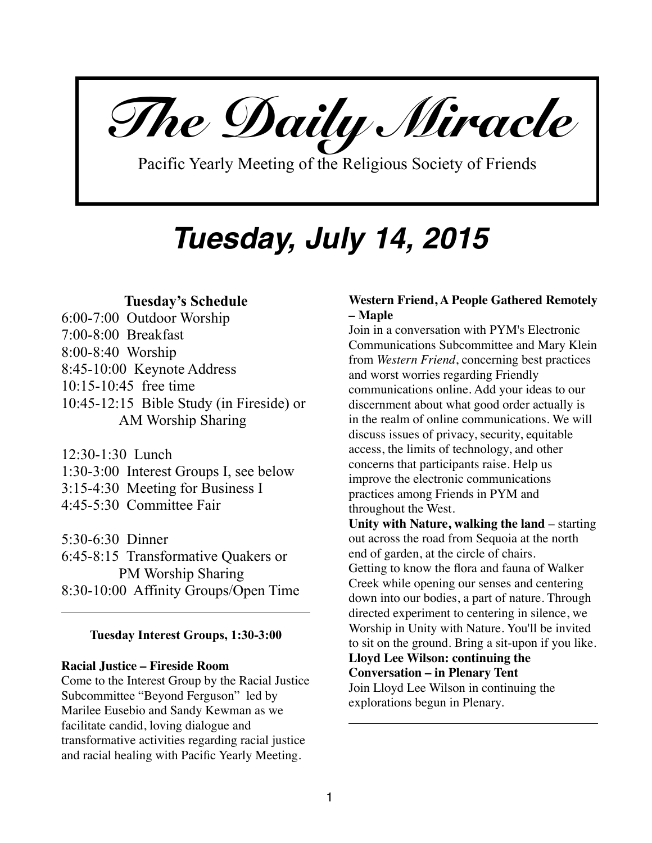*The Daily Miracle* 

Pacific Yearly Meeting of the Religious Society of Friends

# *Tuesday, July 14, 2015*

# **Tuesday's Schedule**

6:00-7:00 Outdoor Worship 7:00-8:00 Breakfast 8:00-8:40 Worship 8:45-10:00 Keynote Address 10:15-10:45 free time 10:45-12:15 Bible Study (in Fireside) or AM Worship Sharing

12:30-1:30 Lunch 1:30-3:00 Interest Groups I, see below 3:15-4:30 Meeting for Business I 4:45-5:30 Committee Fair

5:30-6:30 Dinner 6:45-8:15 Transformative Quakers or PM Worship Sharing 8:30-10:00 Affinity Groups/Open Time

# **Tuesday Interest Groups, 1:30-3:00**

#### **Racial Justice – Fireside Room**

Come to the Interest Group by the Racial Justice Subcommittee "Beyond Ferguson" led by Marilee Eusebio and Sandy Kewman as we facilitate candid, loving dialogue and transformative activities regarding racial justice and racial healing with Pacific Yearly Meeting.

# **Western Friend, A People Gathered Remotely – Maple**

Join in a conversation with PYM's Electronic Communications Subcommittee and Mary Klein from *Western Friend*, concerning best practices and worst worries regarding Friendly communications online. Add your ideas to our discernment about what good order actually is in the realm of online communications. We will discuss issues of privacy, security, equitable access, the limits of technology, and other concerns that participants raise. Help us improve the electronic communications practices among Friends in PYM and throughout the West.

**Unity with Nature, walking the land** – starting out across the road from Sequoia at the north end of garden, at the circle of chairs. Getting to know the flora and fauna of Walker Creek while opening our senses and centering down into our bodies, a part of nature. Through directed experiment to centering in silence, we Worship in Unity with Nature. You'll be invited to sit on the ground. Bring a sit-upon if you like. **Lloyd Lee Wilson: continuing the Conversation – in Plenary Tent** Join Lloyd Lee Wilson in continuing the

explorations begun in Plenary.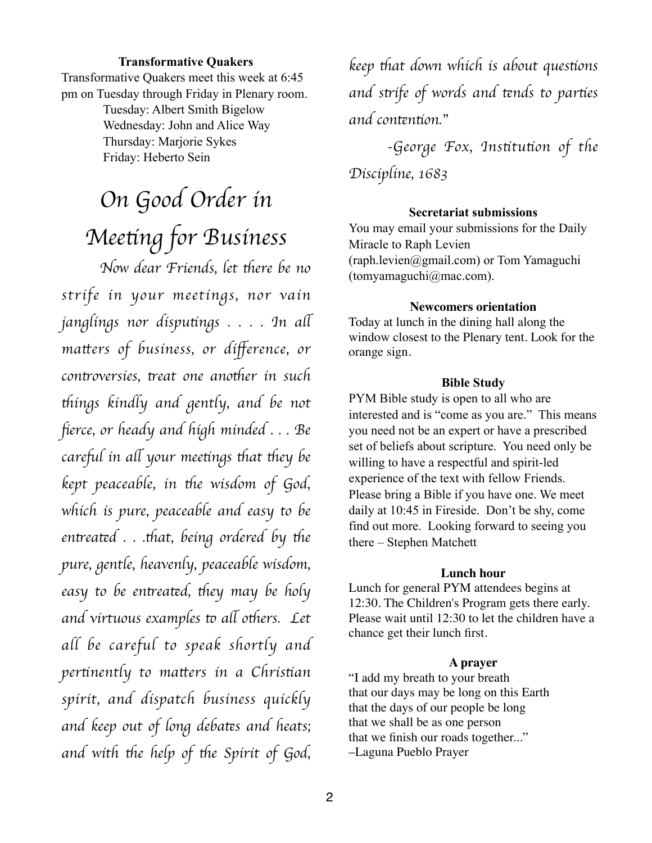#### **Transformative Quakers**

Transformative Quakers meet this week at 6:45 pm on Tuesday through Friday in Plenary room.

> Tuesday: Albert Smith Bigelow Wednesday: John and Alice Way Thursday: Marjorie Sykes Friday: Heberto Sein

# *On Good Order in Mee*t*ng for Business*

*Now dear Friends, let there be no strife in your meetings, nor vain janglings nor dispu*t*ngs . . . . In a*l *ma*t*ers of business, or di*ff*erence, or controversies, treat one another in such* t*ings kindly and gently, and be not*  fi*erce, or heady and high minded . . . Be care*f*l in a*l *your mee*t*ngs* t*at* t*ey be kept peaceable, in the wisdom of God, which is pure, peaceable and easy to be entreated . . .that, being ordered by the pure, gentle, heavenly, peaceable wisdom, easy to be en*t*ea*t*d,* t*ey may be holy and virtuous examples to all others.* Let *all be careful to speak shortly and per*t*nently to ma*t*ers in a Chris*t*an spirit, and dispatch business quickly and keep out of long deba*t*s and heats;*  and with the help of the Spirit of God,

*keep* t*at down which is about ques*t*ons and s*t*ife of words and* t*nds to par*t*es and con*t*n*t*on.*"

*-George Fox, Ins*t*tu*t*on of the Discipline, 1683* 

#### **Secretariat submissions**

You may email your submissions for the Daily Miracle to Raph Levien (raph.levien@gmail.com) or Tom Yamaguchi (tomyamaguchi@mac.com).

#### **Newcomers orientation**

Today at lunch in the dining hall along the window closest to the Plenary tent. Look for the orange sign.

#### **Bible Study**

PYM Bible study is open to all who are interested and is "come as you are." This means you need not be an expert or have a prescribed set of beliefs about scripture. You need only be willing to have a respectful and spirit-led experience of the text with fellow Friends. Please bring a Bible if you have one. We meet daily at 10:45 in Fireside. Don't be shy, come find out more. Looking forward to seeing you there – Stephen Matchett

#### **Lunch hour**

Lunch for general PYM attendees begins at 12:30. The Children's Program gets there early. Please wait until 12:30 to let the children have a chance get their lunch first.

#### **A prayer**

"I add my breath to your breath that our days may be long on this Earth that the days of our people be long that we shall be as one person that we finish our roads together..." –Laguna Pueblo Prayer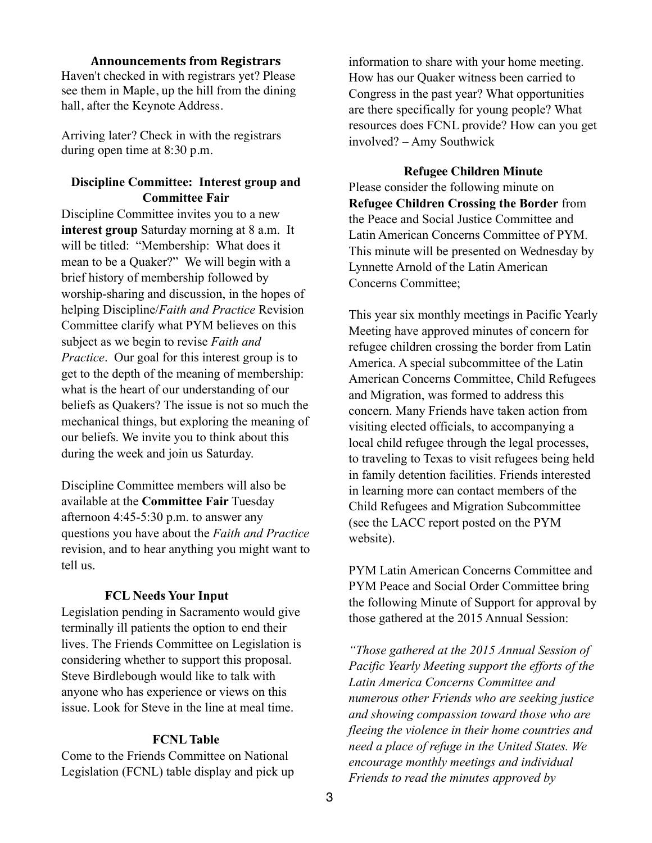#### **Announcements from Registrars**

Haven't checked in with registrars yet? Please see them in Maple, up the hill from the dining hall, after the Keynote Address.

Arriving later? Check in with the registrars during open time at 8:30 p.m.

# **Discipline Committee: Interest group and Committee Fair**

Discipline Committee invites you to a new **interest group** Saturday morning at 8 a.m. It will be titled: "Membership: What does it mean to be a Quaker?" We will begin with a brief history of membership followed by worship-sharing and discussion, in the hopes of helping Discipline/*Faith and Practice* Revision Committee clarify what PYM believes on this subject as we begin to revise *Faith and Practice*. Our goal for this interest group is to get to the depth of the meaning of membership: what is the heart of our understanding of our beliefs as Quakers? The issue is not so much the mechanical things, but exploring the meaning of our beliefs. We invite you to think about this during the week and join us Saturday.

Discipline Committee members will also be available at the **Committee Fair** Tuesday afternoon 4:45-5:30 p.m. to answer any questions you have about the *Faith and Practice*  revision, and to hear anything you might want to tell us.

#### **FCL Needs Your Input**

Legislation pending in Sacramento would give terminally ill patients the option to end their lives. The Friends Committee on Legislation is considering whether to support this proposal. Steve Birdlebough would like to talk with anyone who has experience or views on this issue. Look for Steve in the line at meal time.

## **FCNL Table**

Come to the Friends Committee on National Legislation (FCNL) table display and pick up information to share with your home meeting. How has our Quaker witness been carried to Congress in the past year? What opportunities are there specifically for young people? What resources does FCNL provide? How can you get involved? – Amy Southwick

**Refugee Children Minute** Please consider the following minute on **Refugee Children Crossing the Border** from the Peace and Social Justice Committee and Latin American Concerns Committee of PYM. This minute will be presented on Wednesday by Lynnette Arnold of the Latin American Concerns Committee;

This year six monthly meetings in Pacific Yearly Meeting have approved minutes of concern for refugee children crossing the border from Latin America. A special subcommittee of the Latin American Concerns Committee, Child Refugees and Migration, was formed to address this concern. Many Friends have taken action from visiting elected officials, to accompanying a local child refugee through the legal processes, to traveling to Texas to visit refugees being held in family detention facilities. Friends interested in learning more can contact members of the Child Refugees and Migration Subcommittee (see the LACC report posted on the PYM website).

PYM Latin American Concerns Committee and PYM Peace and Social Order Committee bring the following Minute of Support for approval by those gathered at the 2015 Annual Session:

*"Those gathered at the 2015 Annual Session of Pacific Yearly Meeting support the efforts of the Latin America Concerns Committee and numerous other Friends who are seeking justice and showing compassion toward those who are fleeing the violence in their home countries and need a place of refuge in the United States. We encourage monthly meetings and individual Friends to read the minutes approved by*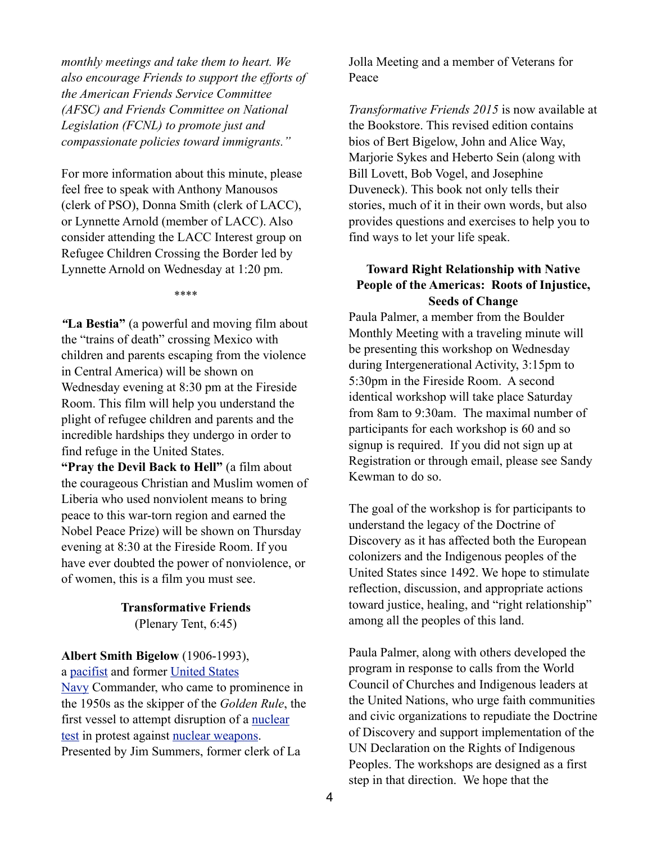*monthly meetings and take them to heart. We also encourage Friends to support the efforts of the American Friends Service Committee (AFSC) and Friends Committee on National Legislation (FCNL) to promote just and compassionate policies toward immigrants."*

For more information about this minute, please feel free to speak with Anthony Manousos (clerk of PSO), Donna Smith (clerk of LACC), or Lynnette Arnold (member of LACC). Also consider attending the LACC Interest group on Refugee Children Crossing the Border led by Lynnette Arnold on Wednesday at 1:20 pm.

\*\*\*\*

*"***La Bestia"** (a powerful and moving film about the "trains of death" crossing Mexico with children and parents escaping from the violence in Central America) will be shown on Wednesday evening at 8:30 pm at the Fireside Room. This film will help you understand the plight of refugee children and parents and the incredible hardships they undergo in order to find refuge in the United States.

**"Pray the Devil Back to Hell"** (a film about the courageous Christian and Muslim women of Liberia who used nonviolent means to bring peace to this war-torn region and earned the Nobel Peace Prize) will be shown on Thursday evening at 8:30 at the Fireside Room. If you have ever doubted the power of nonviolence, or of women, this is a film you must see.

# **Transformative Friends**

(Plenary Tent, 6:45)

# **Albert Smith Bigelow** (1906-1993),

[a pacifist and former United States](http://en.wikipedia.org/wiki/United_States_Navy) 

Navy Commander, who came to prominence in the 1950s as the skipper of the *Golden Rule*, the [first vessel to attempt disruption of a nuclear](http://en.wikipedia.org/wiki/Nuclear_test)  test in protest against [nuclear weapons.](http://en.wikipedia.org/wiki/Nuclear_weapon) Presented by Jim Summers, former clerk of La

Jolla Meeting and a member of Veterans for Peace

*Transformative Friends 2015* is now available at the Bookstore. This revised edition contains bios of Bert Bigelow, John and Alice Way, Marjorie Sykes and Heberto Sein (along with Bill Lovett, Bob Vogel, and Josephine Duveneck). This book not only tells their stories, much of it in their own words, but also provides questions and exercises to help you to find ways to let your life speak.

# **Toward Right Relationship with Native People of the Americas: Roots of Injustice, Seeds of Change**

Paula Palmer, a member from the Boulder Monthly Meeting with a traveling minute will be presenting this workshop on Wednesday during Intergenerational Activity, 3:15pm to 5:30pm in the Fireside Room. A second identical workshop will take place Saturday from 8am to 9:30am. The maximal number of participants for each workshop is 60 and so signup is required. If you did not sign up at Registration or through email, please see Sandy Kewman to do so.

The goal of the workshop is for participants to understand the legacy of the Doctrine of Discovery as it has affected both the European colonizers and the Indigenous peoples of the United States since 1492. We hope to stimulate reflection, discussion, and appropriate actions toward justice, healing, and "right relationship" among all the peoples of this land.

Paula Palmer, along with others developed the program in response to calls from the World Council of Churches and Indigenous leaders at the United Nations, who urge faith communities and civic organizations to repudiate the Doctrine of Discovery and support implementation of the UN Declaration on the Rights of Indigenous Peoples. The workshops are designed as a first step in that direction. We hope that the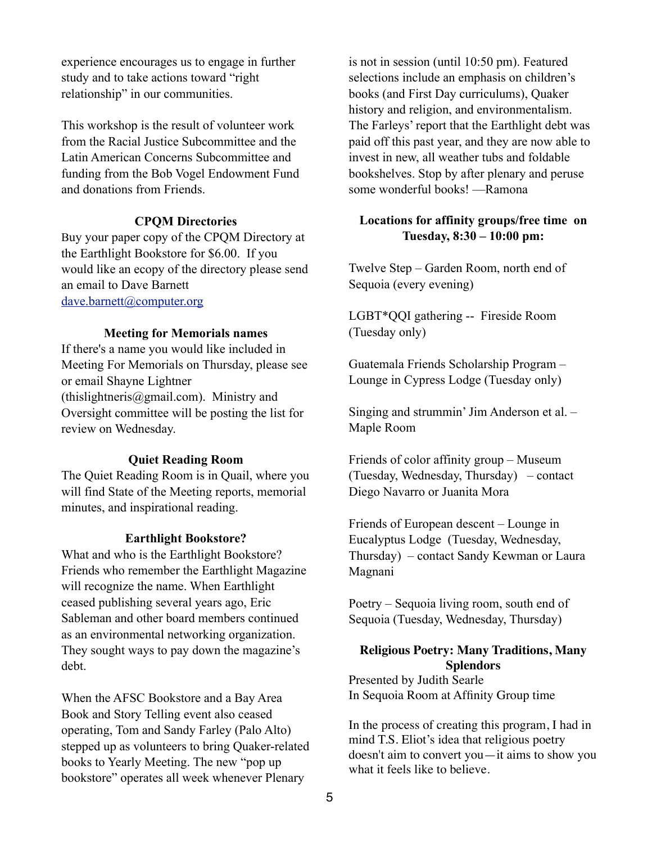experience encourages us to engage in further study and to take actions toward "right relationship" in our communities.

This workshop is the result of volunteer work from the Racial Justice Subcommittee and the Latin American Concerns Subcommittee and funding from the Bob Vogel Endowment Fund and donations from Friends.

#### **CPQM Directories**

Buy your paper copy of the CPQM Directory at the Earthlight Bookstore for \$6.00. If you would like an ecopy of the directory please send an email to Dave Barnett [dave.barnett@computer.org](mailto:dave.barnett@computer.org)

# **Meeting for Memorials names**

If there's a name you would like included in Meeting For Memorials on Thursday, please see or email Shayne Lightner (thislightneris@gmail.com). Ministry and Oversight committee will be posting the list for review on Wednesday.

### **Quiet Reading Room**

The Quiet Reading Room is in Quail, where you will find State of the Meeting reports, memorial minutes, and inspirational reading.

#### **Earthlight Bookstore?**

What and who is the Earthlight Bookstore? Friends who remember the Earthlight Magazine will recognize the name. When Earthlight ceased publishing several years ago, Eric Sableman and other board members continued as an environmental networking organization. They sought ways to pay down the magazine's debt.

When the AFSC Bookstore and a Bay Area Book and Story Telling event also ceased operating, Tom and Sandy Farley (Palo Alto) stepped up as volunteers to bring Quaker-related books to Yearly Meeting. The new "pop up bookstore" operates all week whenever Plenary

is not in session (until 10:50 pm). Featured selections include an emphasis on children's books (and First Day curriculums), Quaker history and religion, and environmentalism. The Farleys' report that the Earthlight debt was paid off this past year, and they are now able to invest in new, all weather tubs and foldable bookshelves. Stop by after plenary and peruse some wonderful books! —Ramona

# **Locations for affinity groups/free time on Tuesday, 8:30 – 10:00 pm:**

Twelve Step – Garden Room, north end of Sequoia (every evening)

LGBT\*QQI gathering -- Fireside Room (Tuesday only)

Guatemala Friends Scholarship Program – Lounge in Cypress Lodge (Tuesday only)

Singing and strummin' Jim Anderson et al. – Maple Room

Friends of color affinity group – Museum (Tuesday, Wednesday, Thursday) – contact Diego Navarro or Juanita Mora

Friends of European descent – Lounge in Eucalyptus Lodge (Tuesday, Wednesday, Thursday) – contact Sandy Kewman or Laura Magnani

Poetry – Sequoia living room, south end of Sequoia (Tuesday, Wednesday, Thursday)

#### **Religious Poetry: Many Traditions, Many Splendors**

Presented by Judith Searle In Sequoia Room at Affinity Group time

In the process of creating this program, I had in mind T.S. Eliot's idea that religious poetry doesn't aim to convert you—it aims to show you what it feels like to believe.